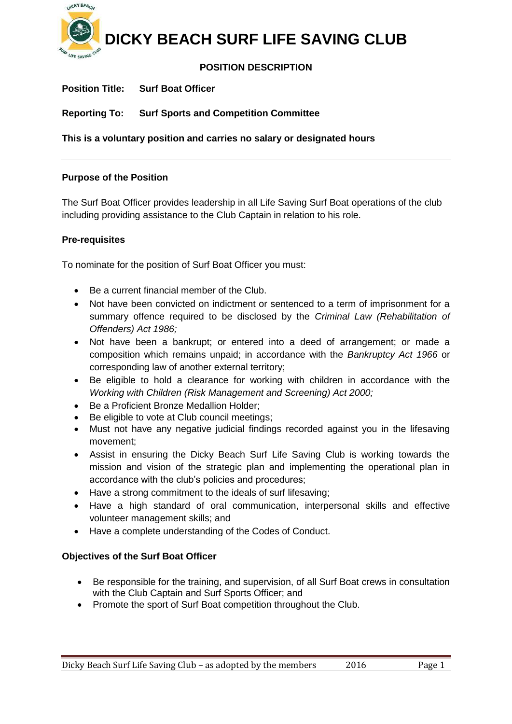

# **POSITION DESCRIPTION**

**Position Title: Surf Boat Officer**

**Reporting To: Surf Sports and Competition Committee**

**This is a voluntary position and carries no salary or designated hours**

### **Purpose of the Position**

The Surf Boat Officer provides leadership in all Life Saving Surf Boat operations of the club including providing assistance to the Club Captain in relation to his role.

### **Pre-requisites**

To nominate for the position of Surf Boat Officer you must:

- Be a current financial member of the Club.
- Not have been convicted on indictment or sentenced to a term of imprisonment for a summary offence required to be disclosed by the *Criminal Law (Rehabilitation of Offenders) Act 1986;*
- Not have been a bankrupt; or entered into a deed of arrangement; or made a composition which remains unpaid; in accordance with the *Bankruptcy Act 1966* or corresponding law of another external territory;
- Be eligible to hold a clearance for working with children in accordance with the *Working with Children (Risk Management and Screening) Act 2000;*
- Be a Proficient Bronze Medallion Holder:
- Be eligible to vote at Club council meetings:
- Must not have any negative judicial findings recorded against you in the lifesaving movement;
- Assist in ensuring the Dicky Beach Surf Life Saving Club is working towards the mission and vision of the strategic plan and implementing the operational plan in accordance with the club's policies and procedures;
- Have a strong commitment to the ideals of surf lifesaving;
- Have a high standard of oral communication, interpersonal skills and effective volunteer management skills; and
- Have a complete understanding of the Codes of Conduct.

# **Objectives of the Surf Boat Officer**

- Be responsible for the training, and supervision, of all Surf Boat crews in consultation with the Club Captain and Surf Sports Officer; and
- Promote the sport of Surf Boat competition throughout the Club.